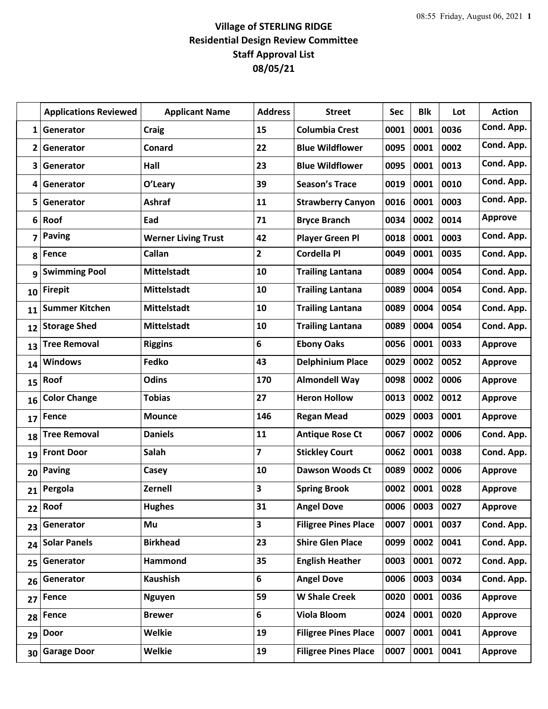## **Village of STERLING RIDGE Residential Design Review Committee Staff Approval List 08/05/21**

|              | <b>Applications Reviewed</b> | <b>Applicant Name</b>      | <b>Address</b> | <b>Street</b>               | Sec  | <b>Blk</b> | Lot  | <b>Action</b>  |
|--------------|------------------------------|----------------------------|----------------|-----------------------------|------|------------|------|----------------|
| $\mathbf{1}$ | Generator                    | <b>Craig</b>               | 15             | <b>Columbia Crest</b>       | 0001 | 0001       | 0036 | Cond. App.     |
| 2            | Generator                    | Conard                     | 22             | <b>Blue Wildflower</b>      | 0095 | 0001       | 0002 | Cond. App.     |
| 3            | Generator                    | Hall                       | 23             | <b>Blue Wildflower</b>      | 0095 | 0001       | 0013 | Cond. App.     |
| 4            | Generator                    | O'Leary                    | 39             | <b>Season's Trace</b>       | 0019 | 0001       | 0010 | Cond. App.     |
| 5            | Generator                    | <b>Ashraf</b>              | 11             | <b>Strawberry Canyon</b>    | 0016 | 0001       | 0003 | Cond. App.     |
| 6            | Roof                         | Ead                        | 71             | <b>Bryce Branch</b>         | 0034 | 0002       | 0014 | <b>Approve</b> |
| 7            | <b>Paving</b>                | <b>Werner Living Trust</b> | 42             | <b>Player Green Pl</b>      | 0018 | 0001       | 0003 | Cond. App.     |
| 8            | Fence                        | Callan                     | $\overline{2}$ | <b>Cordella Pl</b>          | 0049 | 0001       | 0035 | Cond. App.     |
| 9            | <b>Swimming Pool</b>         | <b>Mittelstadt</b>         | 10             | <b>Trailing Lantana</b>     | 0089 | 0004       | 0054 | Cond. App.     |
| 10           | <b>Firepit</b>               | <b>Mittelstadt</b>         | 10             | <b>Trailing Lantana</b>     | 0089 | 0004       | 0054 | Cond. App.     |
| 11           | <b>Summer Kitchen</b>        | <b>Mittelstadt</b>         | 10             | <b>Trailing Lantana</b>     | 0089 | 0004       | 0054 | Cond. App.     |
| 12           | <b>Storage Shed</b>          | <b>Mittelstadt</b>         | 10             | <b>Trailing Lantana</b>     | 0089 | 0004       | 0054 | Cond. App.     |
| 13           | <b>Tree Removal</b>          | <b>Riggins</b>             | 6              | <b>Ebony Oaks</b>           | 0056 | 0001       | 0033 | <b>Approve</b> |
| 14           | <b>Windows</b>               | Fedko                      | 43             | <b>Delphinium Place</b>     | 0029 | 0002       | 0052 | <b>Approve</b> |
| 15           | Roof                         | Odins                      | 170            | <b>Almondell Way</b>        | 0098 | 0002       | 0006 | <b>Approve</b> |
| 16           | <b>Color Change</b>          | <b>Tobias</b>              | 27             | <b>Heron Hollow</b>         | 0013 | 0002       | 0012 | <b>Approve</b> |
| 17           | Fence                        | <b>Mounce</b>              | 146            | <b>Regan Mead</b>           | 0029 | 0003       | 0001 | <b>Approve</b> |
| 18           | <b>Tree Removal</b>          | <b>Daniels</b>             | 11             | <b>Antique Rose Ct</b>      | 0067 | 0002       | 0006 | Cond. App.     |
| 19           | <b>Front Door</b>            | Salah                      | $\overline{7}$ | <b>Stickley Court</b>       | 0062 | 0001       | 0038 | Cond. App.     |
| 20           | <b>Paving</b>                | Casey                      | 10             | <b>Dawson Woods Ct</b>      | 0089 | 0002       | 0006 | <b>Approve</b> |
| 21           | Pergola                      | Zernell                    | 3              | <b>Spring Brook</b>         | 0002 | 0001       | 0028 | <b>Approve</b> |
| 22           | Roof                         | <b>Hughes</b>              | 31             | <b>Angel Dove</b>           | 0006 | 0003       | 0027 | <b>Approve</b> |
| 23           | Generator                    | Mu                         | 3              | <b>Filigree Pines Place</b> | 0007 | 0001       | 0037 | Cond. App.     |
| 24           | <b>Solar Panels</b>          | <b>Birkhead</b>            | 23             | <b>Shire Glen Place</b>     | 0099 | 0002       | 0041 | Cond. App.     |
| 25           | Generator                    | Hammond                    | 35             | <b>English Heather</b>      | 0003 | 0001       | 0072 | Cond. App.     |
| 26           | Generator                    | <b>Kaushish</b>            | 6              | <b>Angel Dove</b>           | 0006 | 0003       | 0034 | Cond. App.     |
| 27           | <b>Fence</b>                 | <b>Nguyen</b>              | 59             | <b>W Shale Creek</b>        | 0020 | 0001       | 0036 | <b>Approve</b> |
| 28           | <b>Fence</b>                 | <b>Brewer</b>              | 6              | <b>Viola Bloom</b>          | 0024 | 0001       | 0020 | <b>Approve</b> |
| 29           | <b>Door</b>                  | <b>Welkie</b>              | 19             | <b>Filigree Pines Place</b> | 0007 | 0001       | 0041 | <b>Approve</b> |
| 30           | <b>Garage Door</b>           | <b>Welkie</b>              | 19             | <b>Filigree Pines Place</b> | 0007 | 0001       | 0041 | <b>Approve</b> |